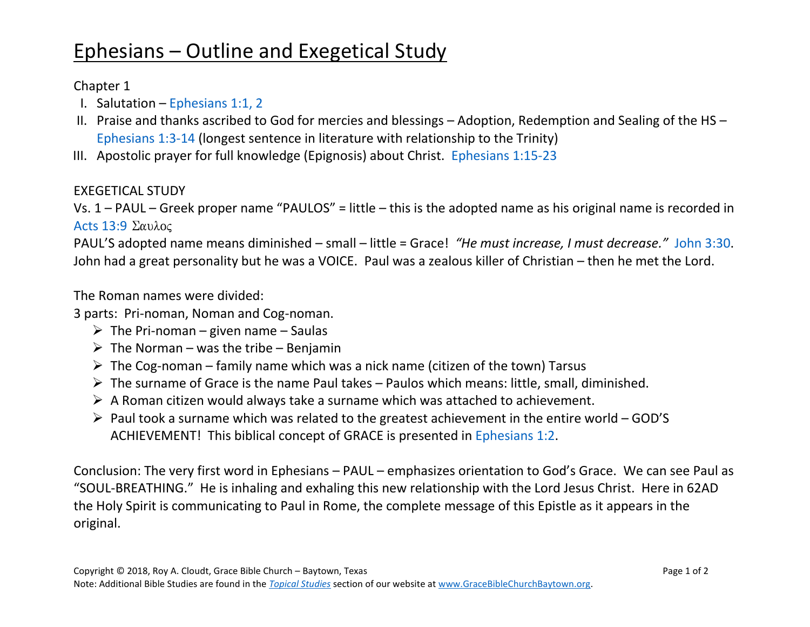## Ephesians – Outline and Exegetical Study

## Chapter 1

- I. Salutation [Ephesians 1:1, 2](https://www.biblegateway.com/passage/?search=Ephesians+1%3A1-2&version=NASB)
- II. Praise and thanks ascribed to God for mercies and blessings Adoption, Redemption and Sealing of the HS [Ephesians 1:3-14](https://www.biblegateway.com/passage/?search=Ephesians+1%3A3-14&version=NASB) (longest sentence in literature with relationship to the Trinity)
- III. Apostolic prayer for full knowledge (Epignosis) about Christ. [Ephesians 1:15-23](https://www.biblegateway.com/passage/?search=Ephesians+1%3A15-23&version=NASB)

## EXEGETICAL STUDY

Vs. 1 – PAUL – Greek proper name "PAULOS" = little – this is the adopted name as his original name is recorded in Acts  $13:9$   $\Sigma \alpha \nu \lambda$ oc

PAUL'S adopted name means diminished – small – little = Grace! *"He must increase, I must decrease."* [John 3:30.](https://www.biblegateway.com/passage/?search=John+3%3A30&version=NASB) John had a great personality but he was a VOICE. Paul was a zealous killer of Christian – then he met the Lord.

The Roman names were divided:

3 parts: Pri-noman, Noman and Cog-noman.

- $\triangleright$  The Pri-noman given name Saulas
- $\triangleright$  The Norman was the tribe Benjamin
- $\triangleright$  The Cog-noman family name which was a nick name (citizen of the town) Tarsus
- $\triangleright$  The surname of Grace is the name Paul takes Paulos which means: little, small, diminished.
- $\triangleright$  A Roman citizen would always take a surname which was attached to achievement.
- ➢ Paul took a surname which was related to the greatest achievement in the entire world GOD'S ACHIEVEMENT! This biblical concept of GRACE is presented in [Ephesians 1:2.](https://www.biblegateway.com/passage/?search=Ephesians+1%3A2&version=NASB)

Conclusion: The very first word in Ephesians – PAUL – emphasizes orientation to God's Grace. We can see Paul as "SOUL-BREATHING." He is inhaling and exhaling this new relationship with the Lord Jesus Christ. Here in 62AD the Holy Spirit is communicating to Paul in Rome, the complete message of this Epistle as it appears in the original.